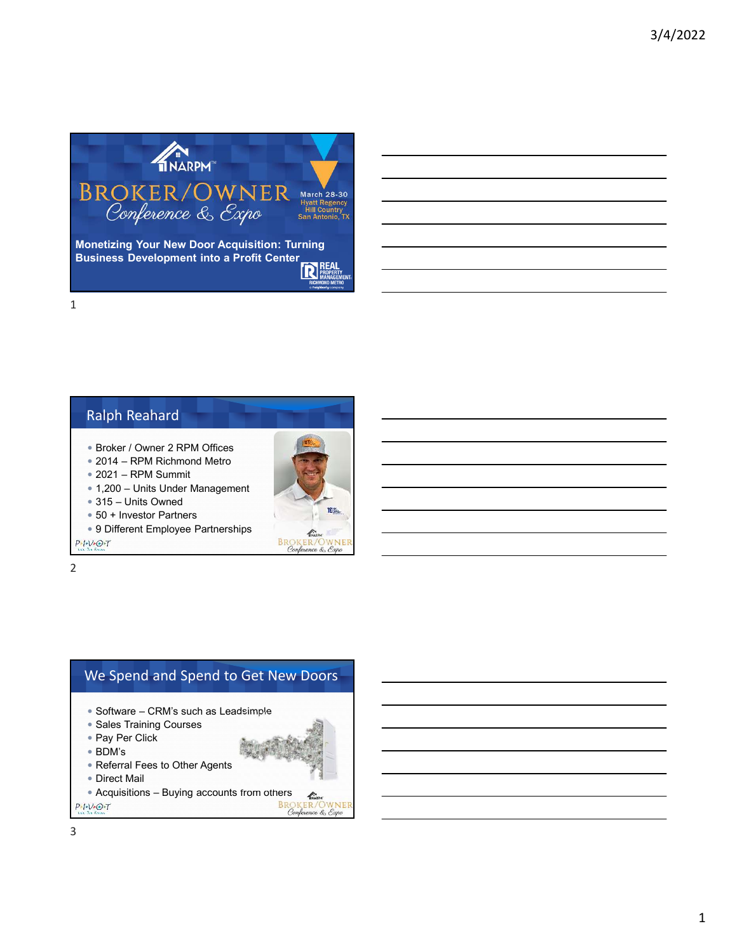

## Ralph Reahard

- Broker / Owner 2 RPM Offices
- 2014 RPM Richmond Metro
- 2021 RPM Summit
- 1,200 Units Under Management
- 315 Units Owned
- 50 + Investor Partners
- 9 Different Employee Partnerships

 $P-I-V+O+T$ 

2



**IN** 

WNE

 $\mathscr{L}$ **BROKER/OWN**<br>Conference & Expo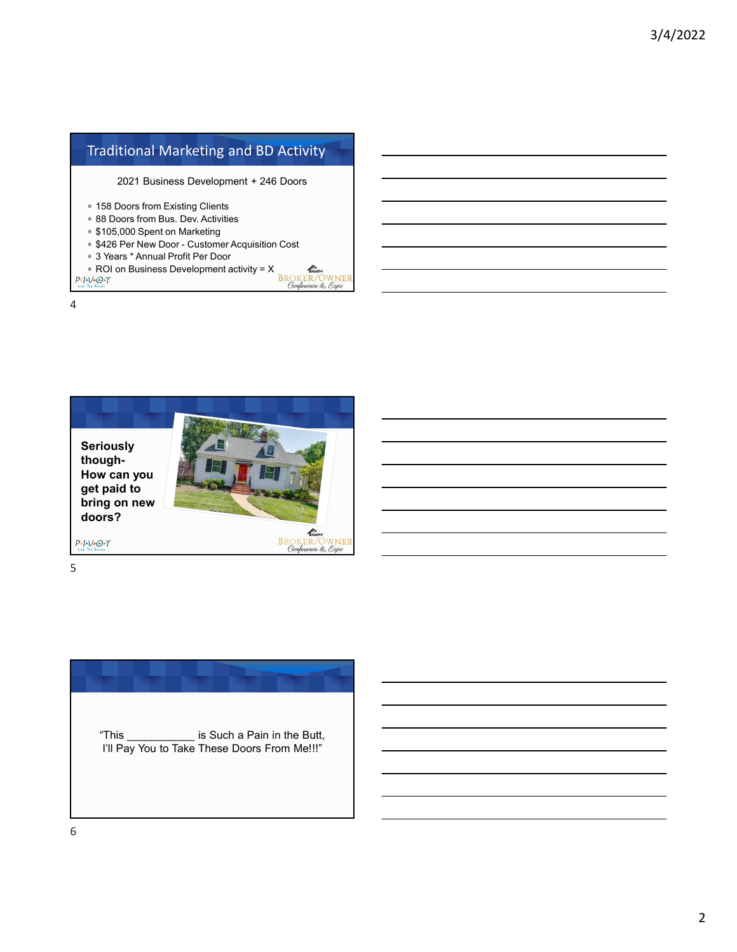## Traditional Marketing and BD Activity

2021 Business Development + 246 Doors

- 158 Doors from Existing Clients
- 88 Doors from Bus. Dev. Activities
- **\$105,000 Spent on Marketing**
- **\$426 Per New Door Customer Acquisition Cost**
- 3 Years \* Annual Profit Per Door
- **PERIO ON BUSINESS Development activity = X**<br>PERIO ON BUSINESS Development activity = X<br>*BROKER/OWNER*<br>*Conference & Expo*

4



5

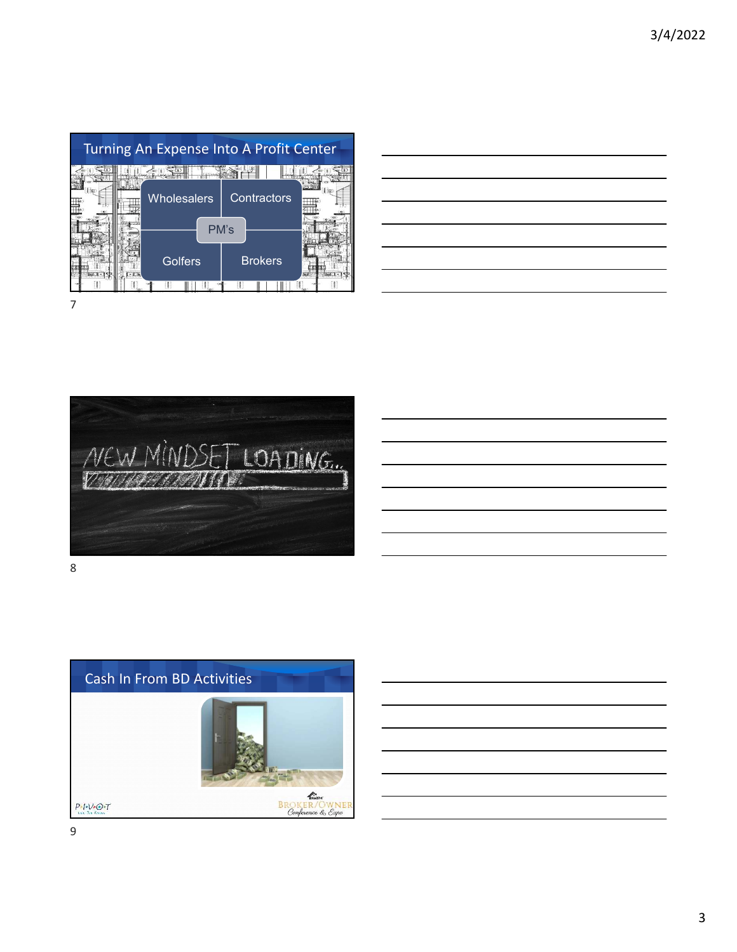|  | Turning An Expense Into A Profit Center |                |  |
|--|-----------------------------------------|----------------|--|
|  | <b>Wholesalers</b>                      | Contractors    |  |
|  | PM's                                    |                |  |
|  | Golfers                                 | <b>Brokers</b> |  |
|  |                                         |                |  |



8

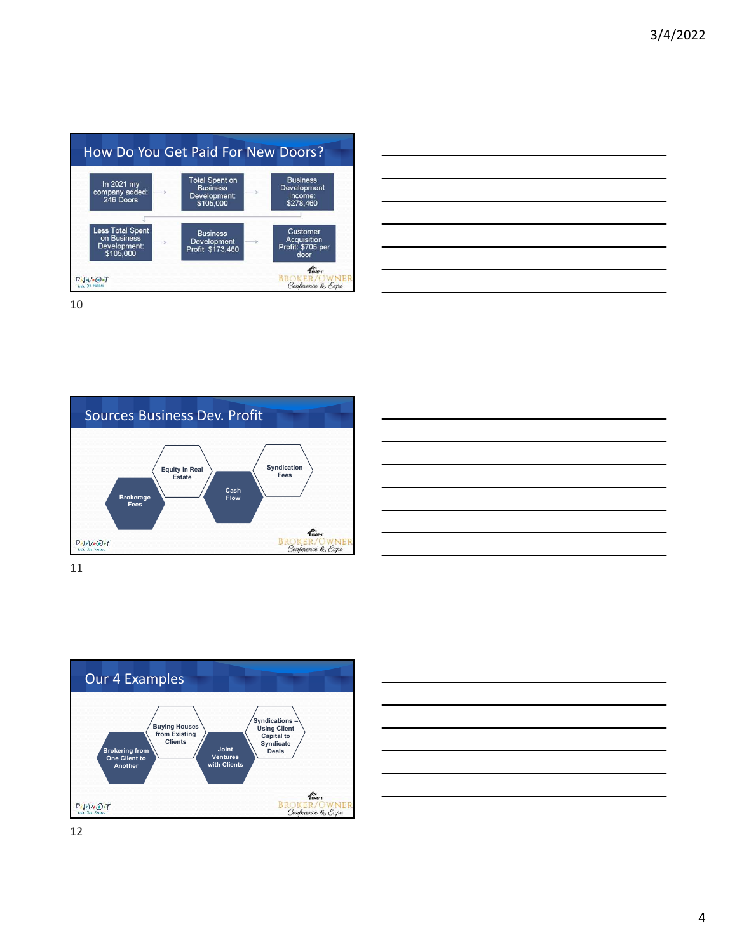| How Do You Get Paid For New Doors?                                  |                                                                       |                                                        |
|---------------------------------------------------------------------|-----------------------------------------------------------------------|--------------------------------------------------------|
| In 2021 my<br>company added:<br>246 Doors                           | <b>Total Spent on</b><br><b>Business</b><br>Development:<br>\$105,000 | <b>Business</b><br>Development<br>Income:<br>\$278.460 |
| <b>Less Total Spent</b><br>on Business<br>Development:<br>\$105,000 | <b>Business</b><br><b>Development</b><br>Profit: \$173.460            | Customer<br>Acquisition<br>Profit: \$705 per<br>door   |
| $D \sim I \sim D \sim T$<br>Life, The Future                        |                                                                       | Conference & Expo                                      |

| <u> 1989 - Johann Harry Harry Harry Harry Harry Harry Harry Harry Harry Harry Harry Harry Harry Harry Harry Harry</u>                                                |  |                                      |
|----------------------------------------------------------------------------------------------------------------------------------------------------------------------|--|--------------------------------------|
| <u> 1989 - Johann Barn, amerikansk politiker (d. 1989)</u>                                                                                                           |  | ______                               |
|                                                                                                                                                                      |  |                                      |
| <u> 1989 - Johann Stein, mars and de Britain and de Britain and de Britain and de Britain and de Britain and de</u>                                                  |  | <b>Service Controller Controller</b> |
|                                                                                                                                                                      |  |                                      |
|                                                                                                                                                                      |  |                                      |
| ,一个人的人都是一个人的人,但是,我们的人都是一个人的人,我们的人都是一个人的人,我们的人都是一个人的人,我们的人都是一个人的人,我们的人都是一个人的人,我们的<br>第一百一十一章 一个人的人,我们的人都是一个人的人,我们的人都是一个人的人,我们的人都是一个人的人,我们的人都是一个人的人,我们的人都是一个人的人,我们的人都是 |  |                                      |







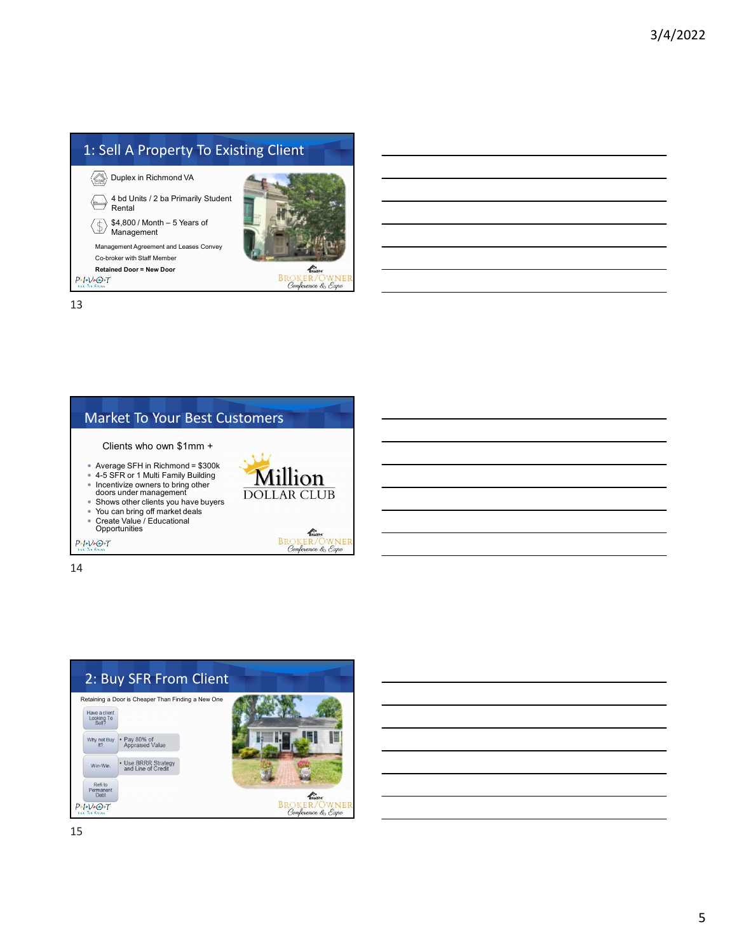

## Market To Your Best Customers

**Million DOLLAR CLUB** 

> KNARPH **BROKER/OWNI**<br>Conference & Expo

WNEI

Clients who own \$1mm +

- Average SFH in Richmond = \$300k
- 4-5 SFR or 1 Multi Family Building
- Incentivize owners to bring other doors under management
- Shows other clients you have buyers
- You can bring off market deals Create Value / Educational Opportunities

 $P-I-V+O+T$ 

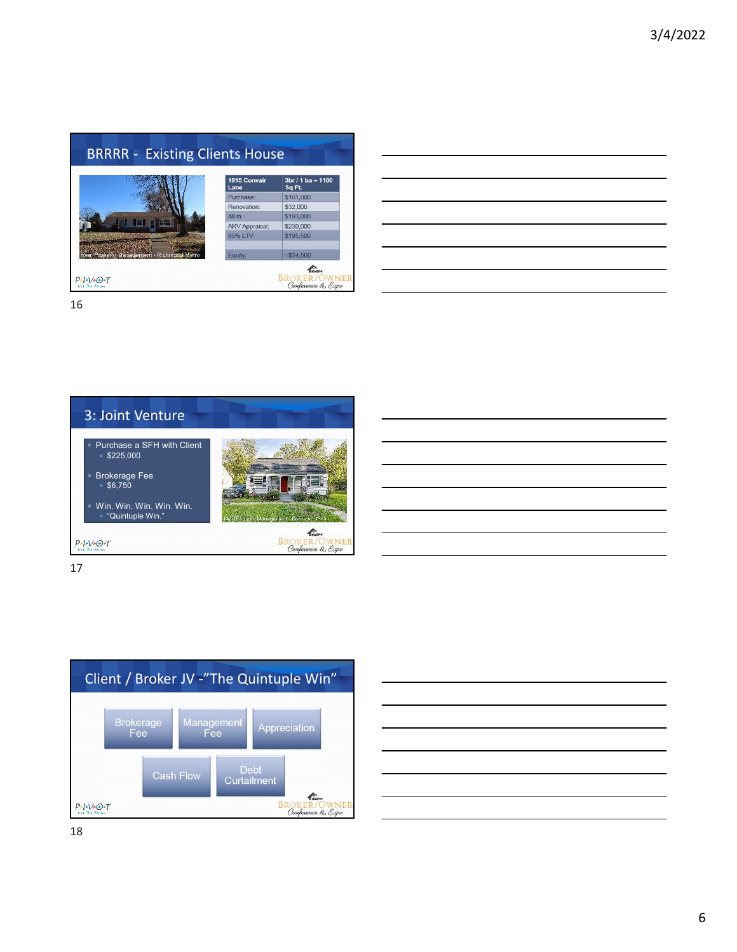

| <u> 1989 - Johann Barn, mars ann an t-Amhainn an t-Amhainn an t-Amhainn an t-Amhainn an t-Amhainn an t-Amhainn an </u> |  |
|------------------------------------------------------------------------------------------------------------------------|--|
| <u> 1989 - Andrea Andrew Maria (h. 1989).</u>                                                                          |  |
| <u> 1989 - Johann Barn, mars ann an t-Amhainn an t-Amhainn an t-Amhainn an t-Amhainn an t-Amhainn an t-Amhainn an</u>  |  |
| <u> 1989 - Johann Stoff, amerikansk fotballstjer (* 1989)</u>                                                          |  |
| <u> 1989 - Andrea Andrew Maria (h. 1989).</u>                                                                          |  |
| <u> 1989 - Johann Harry Harry Harry Harry Harry Harry Harry Harry Harry Harry Harry Harry Harry Harry Harry Harry</u>  |  |
|                                                                                                                        |  |



17



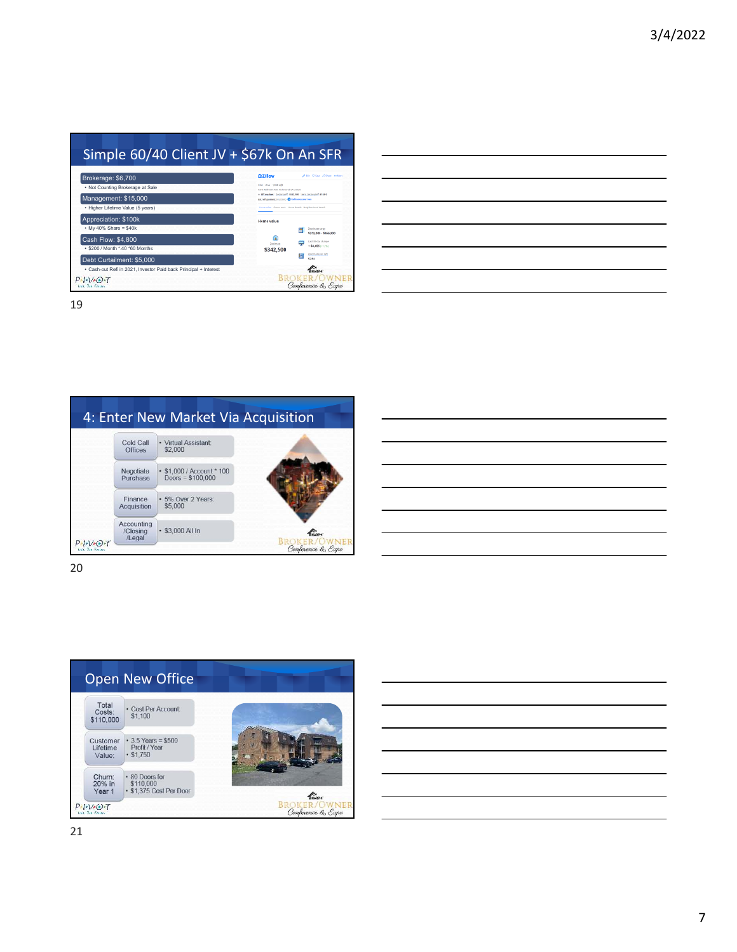|                                   | <b>Civillow</b>                                                                                                          | Altri China Arthur as New                  |  |
|-----------------------------------|--------------------------------------------------------------------------------------------------------------------------|--------------------------------------------|--|
| Brokerage: \$6,700                |                                                                                                                          |                                            |  |
| • Not Counting Brokerage at Sale  | 334 236 1358 och<br>6370 Millione Ave. Richmond, VA 23230                                                                |                                            |  |
| Management: \$15,000              | a Officerial Delivate <sup>3</sup> ESEAN Per Delivate <sup>3</sup> ELEX<br>ex.netgayment.trustumo.@ Infinance.poor.loan. |                                            |  |
| • Higher Lifetime Value (5 years) | Herne volus Owner tools Norte details Neighborhood details                                                               |                                            |  |
| Appreciation: \$100k              | Home value                                                                                                               |                                            |  |
| $My$ 40% Share = \$40k            |                                                                                                                          | Zeitlimate cange<br>\$3.99.000 - \$366,000 |  |
| Cash Flow: \$4,800                |                                                                                                                          | Last III-day change                        |  |
| · \$200 / Month *.40 *60 Months   | Zearlesse<br>\$342,500                                                                                                   | +54,455 (+1.7%)                            |  |
|                                   |                                                                                                                          | <b>Zestimate per soft</b><br>K<br>5354     |  |
| Debt Curtailment: \$5,000         |                                                                                                                          | KNADDAF                                    |  |

| 4: Enter New Market Via Acquisition |                                         |                                                 |                            |  |  |  |
|-------------------------------------|-----------------------------------------|-------------------------------------------------|----------------------------|--|--|--|
|                                     | Cold Call<br><b>Offices</b>             | · Virtual Assistant:<br>\$2,000                 |                            |  |  |  |
|                                     | Negotiate<br>Purchase                   | • \$1,000 / Account * 100<br>Doors = $$100,000$ |                            |  |  |  |
|                                     | Finance<br><b>Acquisition</b>           | · 5% Over 2 Years:<br>\$5,000                   |                            |  |  |  |
|                                     | <b>Accounting</b><br>/Closing<br>/Legal | · \$3,000 All In                                | KNOW<br><b>BROKER/OWNE</b> |  |  |  |
| $P-I-V+O+T$<br>tain The Fernes      |                                         |                                                 | Conference & Expo          |  |  |  |

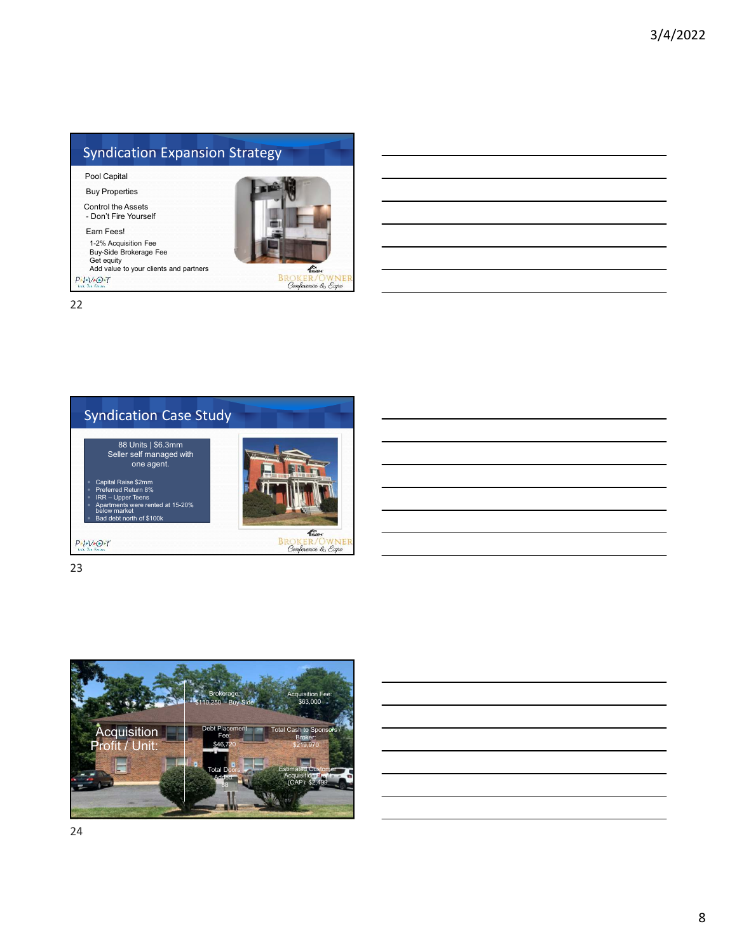